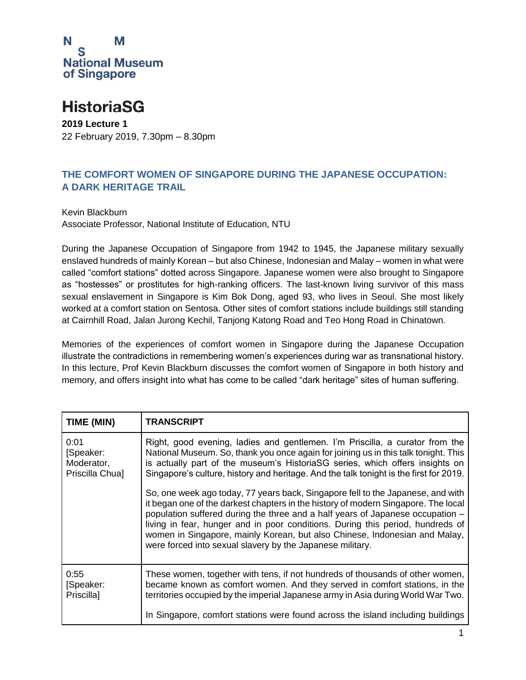

## **HistoriaSG**

**2019 Lecture 1** 22 February 2019, 7.30pm – 8.30pm

## **THE COMFORT WOMEN OF SINGAPORE DURING THE JAPANESE OCCUPATION: A DARK HERITAGE TRAIL**

Kevin Blackburn Associate Professor, National Institute of Education, NTU

During the Japanese Occupation of Singapore from 1942 to 1945, the Japanese military sexually enslaved hundreds of mainly Korean – but also Chinese, Indonesian and Malay – women in what were called "comfort stations" dotted across Singapore. Japanese women were also brought to Singapore as "hostesses" or prostitutes for high-ranking officers. The last-known living survivor of this mass sexual enslavement in Singapore is Kim Bok Dong, aged 93, who lives in Seoul. She most likely worked at a comfort station on Sentosa. Other sites of comfort stations include buildings still standing at Cairnhill Road, Jalan Jurong Kechil, Tanjong Katong Road and Teo Hong Road in Chinatown.

Memories of the experiences of comfort women in Singapore during the Japanese Occupation illustrate the contradictions in remembering women's experiences during war as transnational history. In this lecture, Prof Kevin Blackburn discusses the comfort women of Singapore in both history and memory, and offers insight into what has come to be called "dark heritage" sites of human suffering.

| TIME (MIN)                                         | <b>TRANSCRIPT</b>                                                                                                                                                                                                                                                                                                                                                                                                                                                                    |
|----------------------------------------------------|--------------------------------------------------------------------------------------------------------------------------------------------------------------------------------------------------------------------------------------------------------------------------------------------------------------------------------------------------------------------------------------------------------------------------------------------------------------------------------------|
| 0:01<br>[Speaker:<br>Moderator,<br>Priscilla Chua] | Right, good evening, ladies and gentlemen. I'm Priscilla, a curator from the<br>National Museum. So, thank you once again for joining us in this talk tonight. This<br>is actually part of the museum's HistoriaSG series, which offers insights on<br>Singapore's culture, history and heritage. And the talk tonight is the first for 2019.                                                                                                                                        |
|                                                    | So, one week ago today, 77 years back, Singapore fell to the Japanese, and with<br>it began one of the darkest chapters in the history of modern Singapore. The local<br>population suffered during the three and a half years of Japanese occupation -<br>living in fear, hunger and in poor conditions. During this period, hundreds of<br>women in Singapore, mainly Korean, but also Chinese, Indonesian and Malay,<br>were forced into sexual slavery by the Japanese military. |
| 0:55<br>[Speaker:<br>Priscilla]                    | These women, together with tens, if not hundreds of thousands of other women,<br>became known as comfort women. And they served in comfort stations, in the<br>territories occupied by the imperial Japanese army in Asia during World War Two.                                                                                                                                                                                                                                      |
|                                                    | In Singapore, comfort stations were found across the island including buildings                                                                                                                                                                                                                                                                                                                                                                                                      |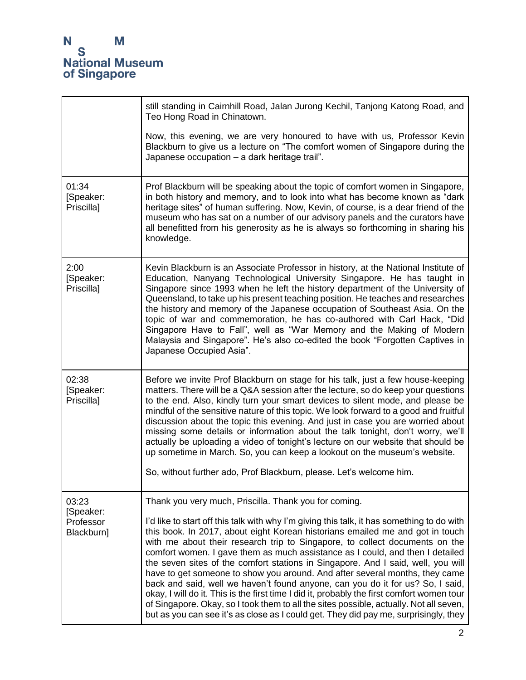|                                               | still standing in Cairnhill Road, Jalan Jurong Kechil, Tanjong Katong Road, and<br>Teo Hong Road in Chinatown.<br>Now, this evening, we are very honoured to have with us, Professor Kevin<br>Blackburn to give us a lecture on "The comfort women of Singapore during the<br>Japanese occupation - a dark heritage trail".                                                                                                                                                                                                                                                                                                                                                                                                                                                                                                                                                                                                               |
|-----------------------------------------------|-------------------------------------------------------------------------------------------------------------------------------------------------------------------------------------------------------------------------------------------------------------------------------------------------------------------------------------------------------------------------------------------------------------------------------------------------------------------------------------------------------------------------------------------------------------------------------------------------------------------------------------------------------------------------------------------------------------------------------------------------------------------------------------------------------------------------------------------------------------------------------------------------------------------------------------------|
| 01:34<br>[Speaker:<br>Priscilla]              | Prof Blackburn will be speaking about the topic of comfort women in Singapore,<br>in both history and memory, and to look into what has become known as "dark<br>heritage sites" of human suffering. Now, Kevin, of course, is a dear friend of the<br>museum who has sat on a number of our advisory panels and the curators have<br>all benefitted from his generosity as he is always so forthcoming in sharing his<br>knowledge.                                                                                                                                                                                                                                                                                                                                                                                                                                                                                                      |
| 2:00<br>[Speaker:<br>Priscilla]               | Kevin Blackburn is an Associate Professor in history, at the National Institute of<br>Education, Nanyang Technological University Singapore. He has taught in<br>Singapore since 1993 when he left the history department of the University of<br>Queensland, to take up his present teaching position. He teaches and researches<br>the history and memory of the Japanese occupation of Southeast Asia. On the<br>topic of war and commemoration, he has co-authored with Carl Hack, "Did<br>Singapore Have to Fall", well as "War Memory and the Making of Modern<br>Malaysia and Singapore". He's also co-edited the book "Forgotten Captives in<br>Japanese Occupied Asia".                                                                                                                                                                                                                                                          |
| 02:38<br>[Speaker:<br>Priscilla]              | Before we invite Prof Blackburn on stage for his talk, just a few house-keeping<br>matters. There will be a Q&A session after the lecture, so do keep your questions<br>to the end. Also, kindly turn your smart devices to silent mode, and please be<br>mindful of the sensitive nature of this topic. We look forward to a good and fruitful<br>discussion about the topic this evening. And just in case you are worried about<br>missing some details or information about the talk tonight, don't worry, we'll<br>actually be uploading a video of tonight's lecture on our website that should be<br>up sometime in March. So, you can keep a lookout on the museum's website.<br>So, without further ado, Prof Blackburn, please. Let's welcome him.                                                                                                                                                                              |
| 03:23<br>[Speaker:<br>Professor<br>Blackburn] | Thank you very much, Priscilla. Thank you for coming.<br>I'd like to start off this talk with why I'm giving this talk, it has something to do with<br>this book. In 2017, about eight Korean historians emailed me and got in touch<br>with me about their research trip to Singapore, to collect documents on the<br>comfort women. I gave them as much assistance as I could, and then I detailed<br>the seven sites of the comfort stations in Singapore. And I said, well, you will<br>have to get someone to show you around. And after several months, they came<br>back and said, well we haven't found anyone, can you do it for us? So, I said,<br>okay, I will do it. This is the first time I did it, probably the first comfort women tour<br>of Singapore. Okay, so I took them to all the sites possible, actually. Not all seven,<br>but as you can see it's as close as I could get. They did pay me, surprisingly, they |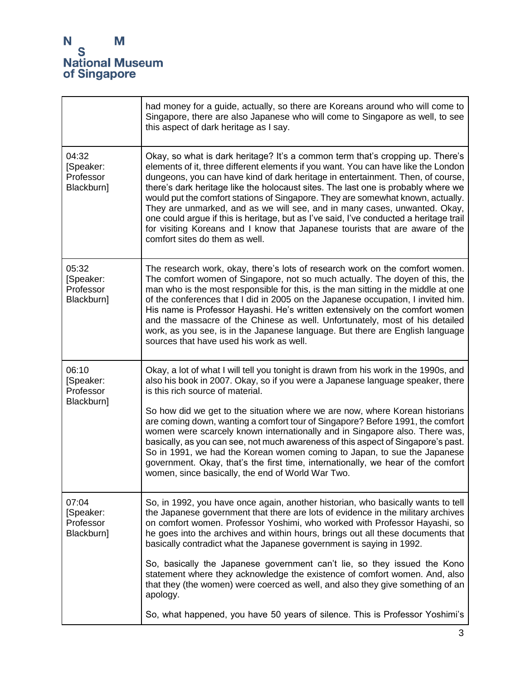|                                               | had money for a guide, actually, so there are Koreans around who will come to<br>Singapore, there are also Japanese who will come to Singapore as well, to see<br>this aspect of dark heritage as I say.                                                                                                                                                                                                                                                                                                                                                                                                                                                                                                                 |
|-----------------------------------------------|--------------------------------------------------------------------------------------------------------------------------------------------------------------------------------------------------------------------------------------------------------------------------------------------------------------------------------------------------------------------------------------------------------------------------------------------------------------------------------------------------------------------------------------------------------------------------------------------------------------------------------------------------------------------------------------------------------------------------|
| 04:32<br>[Speaker:<br>Professor<br>Blackburn] | Okay, so what is dark heritage? It's a common term that's cropping up. There's<br>elements of it, three different elements if you want. You can have like the London<br>dungeons, you can have kind of dark heritage in entertainment. Then, of course,<br>there's dark heritage like the holocaust sites. The last one is probably where we<br>would put the comfort stations of Singapore. They are somewhat known, actually.<br>They are unmarked, and as we will see, and in many cases, unwanted. Okay,<br>one could argue if this is heritage, but as I've said, I've conducted a heritage trail<br>for visiting Koreans and I know that Japanese tourists that are aware of the<br>comfort sites do them as well. |
| 05:32<br>[Speaker:<br>Professor<br>Blackburn] | The research work, okay, there's lots of research work on the comfort women.<br>The comfort women of Singapore, not so much actually. The doyen of this, the<br>man who is the most responsible for this, is the man sitting in the middle at one<br>of the conferences that I did in 2005 on the Japanese occupation, I invited him.<br>His name is Professor Hayashi. He's written extensively on the comfort women<br>and the massacre of the Chinese as well. Unfortunately, most of his detailed<br>work, as you see, is in the Japanese language. But there are English language<br>sources that have used his work as well.                                                                                       |
| 06:10<br>[Speaker:<br>Professor               | Okay, a lot of what I will tell you tonight is drawn from his work in the 1990s, and<br>also his book in 2007. Okay, so if you were a Japanese language speaker, there<br>is this rich source of material.                                                                                                                                                                                                                                                                                                                                                                                                                                                                                                               |
| Blackburn]                                    | So how did we get to the situation where we are now, where Korean historians<br>are coming down, wanting a comfort tour of Singapore? Before 1991, the comfort<br>women were scarcely known internationally and in Singapore also. There was,<br>basically, as you can see, not much awareness of this aspect of Singapore's past.<br>So in 1991, we had the Korean women coming to Japan, to sue the Japanese<br>government. Okay, that's the first time, internationally, we hear of the comfort<br>women, since basically, the end of World War Two.                                                                                                                                                                  |
| 07:04<br>[Speaker:<br>Professor<br>Blackburn] | So, in 1992, you have once again, another historian, who basically wants to tell<br>the Japanese government that there are lots of evidence in the military archives<br>on comfort women. Professor Yoshimi, who worked with Professor Hayashi, so<br>he goes into the archives and within hours, brings out all these documents that<br>basically contradict what the Japanese government is saying in 1992.                                                                                                                                                                                                                                                                                                            |
|                                               | So, basically the Japanese government can't lie, so they issued the Kono<br>statement where they acknowledge the existence of comfort women. And, also<br>that they (the women) were coerced as well, and also they give something of an<br>apology.                                                                                                                                                                                                                                                                                                                                                                                                                                                                     |
|                                               | So, what happened, you have 50 years of silence. This is Professor Yoshimi's                                                                                                                                                                                                                                                                                                                                                                                                                                                                                                                                                                                                                                             |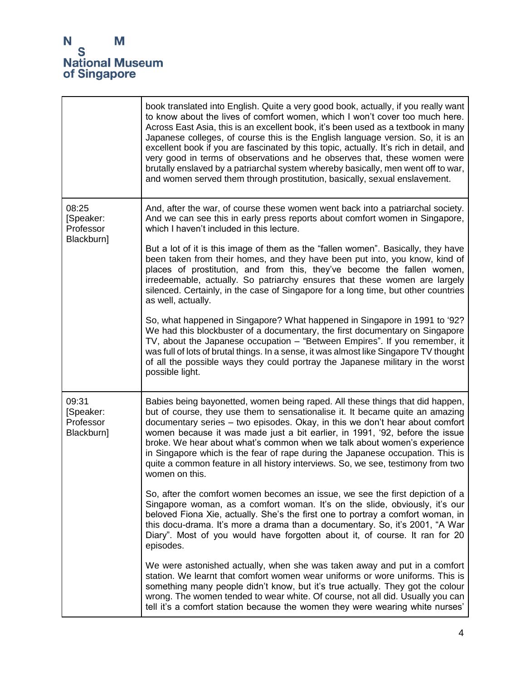$\mathbf{r}$ 

|                                               |                                                                                                                                                                                                                                                                                                                                                                                                                                       | book translated into English. Quite a very good book, actually, if you really want<br>to know about the lives of comfort women, which I won't cover too much here.<br>Across East Asia, this is an excellent book, it's been used as a textbook in many<br>Japanese colleges, of course this is the English language version. So, it is an<br>excellent book if you are fascinated by this topic, actually. It's rich in detail, and<br>very good in terms of observations and he observes that, these women were<br>brutally enslaved by a patriarchal system whereby basically, men went off to war,<br>and women served them through prostitution, basically, sexual enslavement. |
|-----------------------------------------------|---------------------------------------------------------------------------------------------------------------------------------------------------------------------------------------------------------------------------------------------------------------------------------------------------------------------------------------------------------------------------------------------------------------------------------------|--------------------------------------------------------------------------------------------------------------------------------------------------------------------------------------------------------------------------------------------------------------------------------------------------------------------------------------------------------------------------------------------------------------------------------------------------------------------------------------------------------------------------------------------------------------------------------------------------------------------------------------------------------------------------------------|
| 08:25<br>[Speaker:<br>Professor<br>Blackburn] | And, after the war, of course these women went back into a patriarchal society.<br>And we can see this in early press reports about comfort women in Singapore,<br>which I haven't included in this lecture.                                                                                                                                                                                                                          |                                                                                                                                                                                                                                                                                                                                                                                                                                                                                                                                                                                                                                                                                      |
|                                               | But a lot of it is this image of them as the "fallen women". Basically, they have<br>been taken from their homes, and they have been put into, you know, kind of<br>places of prostitution, and from this, they've become the fallen women,<br>irredeemable, actually. So patriarchy ensures that these women are largely<br>silenced. Certainly, in the case of Singapore for a long time, but other countries<br>as well, actually. |                                                                                                                                                                                                                                                                                                                                                                                                                                                                                                                                                                                                                                                                                      |
|                                               |                                                                                                                                                                                                                                                                                                                                                                                                                                       | So, what happened in Singapore? What happened in Singapore in 1991 to '92?<br>We had this blockbuster of a documentary, the first documentary on Singapore<br>TV, about the Japanese occupation - "Between Empires". If you remember, it<br>was full of lots of brutal things. In a sense, it was almost like Singapore TV thought<br>of all the possible ways they could portray the Japanese military in the worst<br>possible light.                                                                                                                                                                                                                                              |
| 09:31<br>[Speaker:<br>Professor<br>Blackburn] |                                                                                                                                                                                                                                                                                                                                                                                                                                       | Babies being bayonetted, women being raped. All these things that did happen,<br>but of course, they use them to sensationalise it. It became quite an amazing<br>documentary series - two episodes. Okay, in this we don't hear about comfort<br>women because it was made just a bit earlier, in 1991, '92, before the issue<br>broke. We hear about what's common when we talk about women's experience<br>in Singapore which is the fear of rape during the Japanese occupation. This is<br>quite a common feature in all history interviews. So, we see, testimony from two<br>women on this.                                                                                   |
|                                               |                                                                                                                                                                                                                                                                                                                                                                                                                                       | So, after the comfort women becomes an issue, we see the first depiction of a<br>Singapore woman, as a comfort woman. It's on the slide, obviously, it's our<br>beloved Fiona Xie, actually. She's the first one to portray a comfort woman, in<br>this docu-drama. It's more a drama than a documentary. So, it's 2001, "A War<br>Diary". Most of you would have forgotten about it, of course. It ran for 20<br>episodes.                                                                                                                                                                                                                                                          |
|                                               |                                                                                                                                                                                                                                                                                                                                                                                                                                       | We were astonished actually, when she was taken away and put in a comfort<br>station. We learnt that comfort women wear uniforms or wore uniforms. This is<br>something many people didn't know, but it's true actually. They got the colour<br>wrong. The women tended to wear white. Of course, not all did. Usually you can<br>tell it's a comfort station because the women they were wearing white nurses'                                                                                                                                                                                                                                                                      |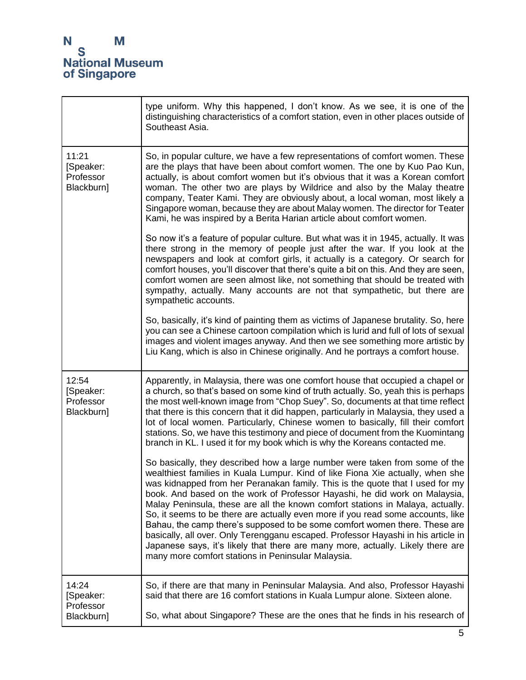|                                               | type uniform. Why this happened, I don't know. As we see, it is one of the<br>distinguishing characteristics of a comfort station, even in other places outside of<br>Southeast Asia.                                                                                                                                                                                                                                                                                                                                                                                                                                                                                                                                                                                                                         |
|-----------------------------------------------|---------------------------------------------------------------------------------------------------------------------------------------------------------------------------------------------------------------------------------------------------------------------------------------------------------------------------------------------------------------------------------------------------------------------------------------------------------------------------------------------------------------------------------------------------------------------------------------------------------------------------------------------------------------------------------------------------------------------------------------------------------------------------------------------------------------|
| 11:21<br>[Speaker:<br>Professor<br>Blackburn] | So, in popular culture, we have a few representations of comfort women. These<br>are the plays that have been about comfort women. The one by Kuo Pao Kun,<br>actually, is about comfort women but it's obvious that it was a Korean comfort<br>woman. The other two are plays by Wildrice and also by the Malay theatre<br>company, Teater Kami. They are obviously about, a local woman, most likely a<br>Singapore woman, because they are about Malay women. The director for Teater<br>Kami, he was inspired by a Berita Harian article about comfort women.                                                                                                                                                                                                                                             |
|                                               | So now it's a feature of popular culture. But what was it in 1945, actually. It was<br>there strong in the memory of people just after the war. If you look at the<br>newspapers and look at comfort girls, it actually is a category. Or search for<br>comfort houses, you'll discover that there's quite a bit on this. And they are seen,<br>comfort women are seen almost like, not something that should be treated with<br>sympathy, actually. Many accounts are not that sympathetic, but there are<br>sympathetic accounts.                                                                                                                                                                                                                                                                           |
|                                               | So, basically, it's kind of painting them as victims of Japanese brutality. So, here<br>you can see a Chinese cartoon compilation which is lurid and full of lots of sexual<br>images and violent images anyway. And then we see something more artistic by<br>Liu Kang, which is also in Chinese originally. And he portrays a comfort house.                                                                                                                                                                                                                                                                                                                                                                                                                                                                |
| 12:54<br>[Speaker:<br>Professor<br>Blackburn] | Apparently, in Malaysia, there was one comfort house that occupied a chapel or<br>a church, so that's based on some kind of truth actually. So, yeah this is perhaps<br>the most well-known image from "Chop Suey". So, documents at that time reflect<br>that there is this concern that it did happen, particularly in Malaysia, they used a<br>lot of local women. Particularly, Chinese women to basically, fill their comfort<br>stations. So, we have this testimony and piece of document from the Kuomintang<br>branch in KL. I used it for my book which is why the Koreans contacted me.                                                                                                                                                                                                            |
|                                               | So basically, they described how a large number were taken from some of the<br>wealthiest families in Kuala Lumpur. Kind of like Fiona Xie actually, when she<br>was kidnapped from her Peranakan family. This is the quote that I used for my<br>book. And based on the work of Professor Hayashi, he did work on Malaysia,<br>Malay Peninsula, these are all the known comfort stations in Malaya, actually.<br>So, it seems to be there are actually even more if you read some accounts, like<br>Bahau, the camp there's supposed to be some comfort women there. These are<br>basically, all over. Only Terengganu escaped. Professor Hayashi in his article in<br>Japanese says, it's likely that there are many more, actually. Likely there are<br>many more comfort stations in Peninsular Malaysia. |
| 14:24<br>[Speaker:<br>Professor<br>Blackburn] | So, if there are that many in Peninsular Malaysia. And also, Professor Hayashi<br>said that there are 16 comfort stations in Kuala Lumpur alone. Sixteen alone.<br>So, what about Singapore? These are the ones that he finds in his research of                                                                                                                                                                                                                                                                                                                                                                                                                                                                                                                                                              |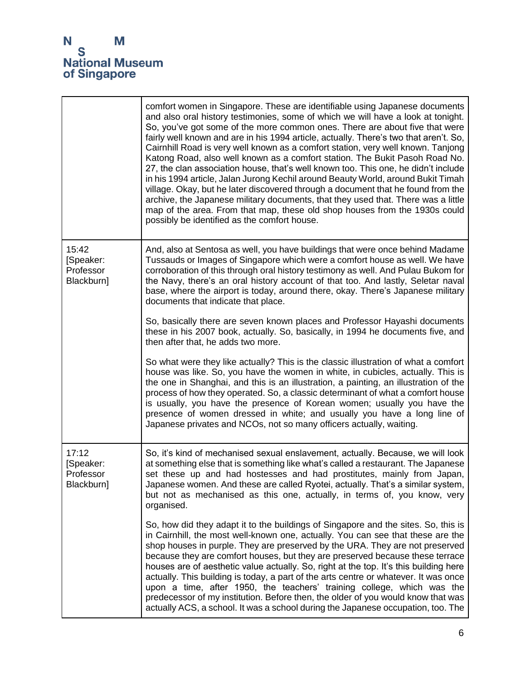|                                               | comfort women in Singapore. These are identifiable using Japanese documents<br>and also oral history testimonies, some of which we will have a look at tonight.<br>So, you've got some of the more common ones. There are about five that were<br>fairly well known and are in his 1994 article, actually. There's two that aren't. So,<br>Cairnhill Road is very well known as a comfort station, very well known. Tanjong<br>Katong Road, also well known as a comfort station. The Bukit Pasoh Road No.<br>27, the clan association house, that's well known too. This one, he didn't include<br>in his 1994 article, Jalan Jurong Kechil around Beauty World, around Bukit Timah<br>village. Okay, but he later discovered through a document that he found from the<br>archive, the Japanese military documents, that they used that. There was a little<br>map of the area. From that map, these old shop houses from the 1930s could<br>possibly be identified as the comfort house. |
|-----------------------------------------------|---------------------------------------------------------------------------------------------------------------------------------------------------------------------------------------------------------------------------------------------------------------------------------------------------------------------------------------------------------------------------------------------------------------------------------------------------------------------------------------------------------------------------------------------------------------------------------------------------------------------------------------------------------------------------------------------------------------------------------------------------------------------------------------------------------------------------------------------------------------------------------------------------------------------------------------------------------------------------------------------|
| 15:42<br>[Speaker:<br>Professor<br>Blackburn] | And, also at Sentosa as well, you have buildings that were once behind Madame<br>Tussauds or Images of Singapore which were a comfort house as well. We have<br>corroboration of this through oral history testimony as well. And Pulau Bukom for<br>the Navy, there's an oral history account of that too. And lastly, Seletar naval<br>base, where the airport is today, around there, okay. There's Japanese military<br>documents that indicate that place.                                                                                                                                                                                                                                                                                                                                                                                                                                                                                                                             |
|                                               | So, basically there are seven known places and Professor Hayashi documents<br>these in his 2007 book, actually. So, basically, in 1994 he documents five, and<br>then after that, he adds two more.                                                                                                                                                                                                                                                                                                                                                                                                                                                                                                                                                                                                                                                                                                                                                                                         |
|                                               | So what were they like actually? This is the classic illustration of what a comfort<br>house was like. So, you have the women in white, in cubicles, actually. This is<br>the one in Shanghai, and this is an illustration, a painting, an illustration of the<br>process of how they operated. So, a classic determinant of what a comfort house<br>is usually, you have the presence of Korean women; usually you have the<br>presence of women dressed in white; and usually you have a long line of<br>Japanese privates and NCOs, not so many officers actually, waiting.                                                                                                                                                                                                                                                                                                                                                                                                              |
| 17:12<br>[Speaker:<br>Professor<br>Blackburn] | So, it's kind of mechanised sexual enslavement, actually. Because, we will look<br>at something else that is something like what's called a restaurant. The Japanese<br>set these up and had hostesses and had prostitutes, mainly from Japan,<br>Japanese women. And these are called Ryotei, actually. That's a similar system,<br>but not as mechanised as this one, actually, in terms of, you know, very<br>organised.                                                                                                                                                                                                                                                                                                                                                                                                                                                                                                                                                                 |
|                                               | So, how did they adapt it to the buildings of Singapore and the sites. So, this is<br>in Cairnhill, the most well-known one, actually. You can see that these are the<br>shop houses in purple. They are preserved by the URA. They are not preserved<br>because they are comfort houses, but they are preserved because these terrace<br>houses are of aesthetic value actually. So, right at the top. It's this building here<br>actually. This building is today, a part of the arts centre or whatever. It was once<br>upon a time, after 1950, the teachers' training college, which was the<br>predecessor of my institution. Before then, the older of you would know that was<br>actually ACS, a school. It was a school during the Japanese occupation, too. The                                                                                                                                                                                                                   |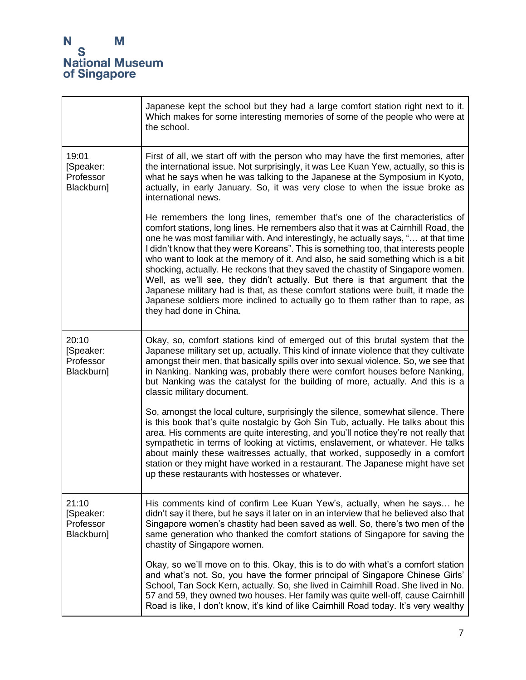'n

|                                               | Japanese kept the school but they had a large comfort station right next to it.<br>Which makes for some interesting memories of some of the people who were at<br>the school.                                                                                                                                                                                                                                                                                                                                                                                                                                                                                                                                                                                                                          |
|-----------------------------------------------|--------------------------------------------------------------------------------------------------------------------------------------------------------------------------------------------------------------------------------------------------------------------------------------------------------------------------------------------------------------------------------------------------------------------------------------------------------------------------------------------------------------------------------------------------------------------------------------------------------------------------------------------------------------------------------------------------------------------------------------------------------------------------------------------------------|
| 19:01<br>[Speaker:<br>Professor<br>Blackburn] | First of all, we start off with the person who may have the first memories, after<br>the international issue. Not surprisingly, it was Lee Kuan Yew, actually, so this is<br>what he says when he was talking to the Japanese at the Symposium in Kyoto,<br>actually, in early January. So, it was very close to when the issue broke as<br>international news.                                                                                                                                                                                                                                                                                                                                                                                                                                        |
|                                               | He remembers the long lines, remember that's one of the characteristics of<br>comfort stations, long lines. He remembers also that it was at Cairnhill Road, the<br>one he was most familiar with. And interestingly, he actually says, " at that time<br>I didn't know that they were Koreans". This is something too, that interests people<br>who want to look at the memory of it. And also, he said something which is a bit<br>shocking, actually. He reckons that they saved the chastity of Singapore women.<br>Well, as we'll see, they didn't actually. But there is that argument that the<br>Japanese military had is that, as these comfort stations were built, it made the<br>Japanese soldiers more inclined to actually go to them rather than to rape, as<br>they had done in China. |
| 20:10<br>[Speaker:<br>Professor<br>Blackburn] | Okay, so, comfort stations kind of emerged out of this brutal system that the<br>Japanese military set up, actually. This kind of innate violence that they cultivate<br>amongst their men, that basically spills over into sexual violence. So, we see that<br>in Nanking. Nanking was, probably there were comfort houses before Nanking,<br>but Nanking was the catalyst for the building of more, actually. And this is a<br>classic military document.                                                                                                                                                                                                                                                                                                                                            |
|                                               | So, amongst the local culture, surprisingly the silence, somewhat silence. There<br>is this book that's quite nostalgic by Goh Sin Tub, actually. He talks about this<br>area. His comments are quite interesting, and you'll notice they're not really that<br>sympathetic in terms of looking at victims, enslavement, or whatever. He talks<br>about mainly these waitresses actually, that worked, supposedly in a comfort<br>station or they might have worked in a restaurant. The Japanese might have set<br>up these restaurants with hostesses or whatever.                                                                                                                                                                                                                                   |
| 21:10<br>[Speaker:<br>Professor<br>Blackburn] | His comments kind of confirm Lee Kuan Yew's, actually, when he says he<br>didn't say it there, but he says it later on in an interview that he believed also that<br>Singapore women's chastity had been saved as well. So, there's two men of the<br>same generation who thanked the comfort stations of Singapore for saving the<br>chastity of Singapore women.                                                                                                                                                                                                                                                                                                                                                                                                                                     |
|                                               | Okay, so we'll move on to this. Okay, this is to do with what's a comfort station<br>and what's not. So, you have the former principal of Singapore Chinese Girls'<br>School, Tan Sock Kern, actually. So, she lived in Cairnhill Road. She lived in No.<br>57 and 59, they owned two houses. Her family was quite well-off, cause Cairnhill<br>Road is like, I don't know, it's kind of like Cairnhill Road today. It's very wealthy                                                                                                                                                                                                                                                                                                                                                                  |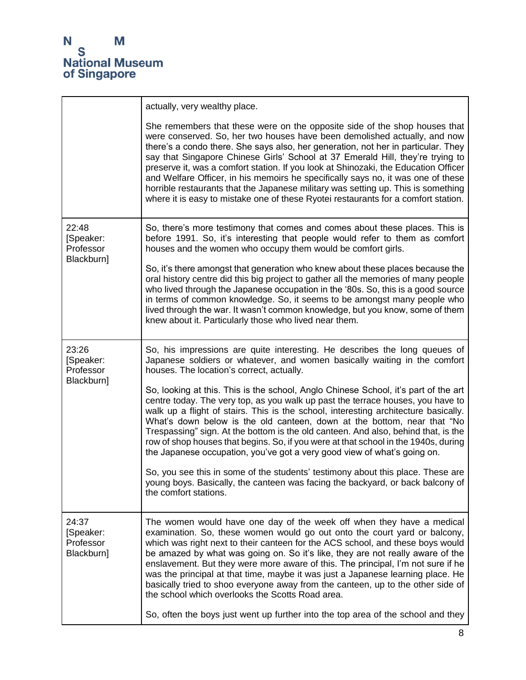|                                               | actually, very wealthy place.                                                                                                                                                                                                                                                                                                                                                                                                                                                                                                                                                                                                                                                        |
|-----------------------------------------------|--------------------------------------------------------------------------------------------------------------------------------------------------------------------------------------------------------------------------------------------------------------------------------------------------------------------------------------------------------------------------------------------------------------------------------------------------------------------------------------------------------------------------------------------------------------------------------------------------------------------------------------------------------------------------------------|
|                                               | She remembers that these were on the opposite side of the shop houses that<br>were conserved. So, her two houses have been demolished actually, and now<br>there's a condo there. She says also, her generation, not her in particular. They<br>say that Singapore Chinese Girls' School at 37 Emerald Hill, they're trying to<br>preserve it, was a comfort station. If you look at Shinozaki, the Education Officer<br>and Welfare Officer, in his memoirs he specifically says no, it was one of these<br>horrible restaurants that the Japanese military was setting up. This is something<br>where it is easy to mistake one of these Ryotei restaurants for a comfort station. |
| 22:48<br>[Speaker:<br>Professor<br>Blackburn] | So, there's more testimony that comes and comes about these places. This is<br>before 1991. So, it's interesting that people would refer to them as comfort<br>houses and the women who occupy them would be comfort girls.                                                                                                                                                                                                                                                                                                                                                                                                                                                          |
|                                               | So, it's there amongst that generation who knew about these places because the<br>oral history centre did this big project to gather all the memories of many people<br>who lived through the Japanese occupation in the '80s. So, this is a good source<br>in terms of common knowledge. So, it seems to be amongst many people who<br>lived through the war. It wasn't common knowledge, but you know, some of them<br>knew about it. Particularly those who lived near them.                                                                                                                                                                                                      |
| 23:26<br>[Speaker:<br>Professor               | So, his impressions are quite interesting. He describes the long queues of<br>Japanese soldiers or whatever, and women basically waiting in the comfort<br>houses. The location's correct, actually.                                                                                                                                                                                                                                                                                                                                                                                                                                                                                 |
| Blackburn]                                    | So, looking at this. This is the school, Anglo Chinese School, it's part of the art<br>centre today. The very top, as you walk up past the terrace houses, you have to<br>walk up a flight of stairs. This is the school, interesting architecture basically.<br>What's down below is the old canteen, down at the bottom, near that "No<br>Trespassing" sign. At the bottom is the old canteen. And also, behind that, is the<br>row of shop houses that begins. So, if you were at that school in the 1940s, during<br>the Japanese occupation, you've got a very good view of what's going on.                                                                                    |
|                                               | So, you see this in some of the students' testimony about this place. These are<br>young boys. Basically, the canteen was facing the backyard, or back balcony of<br>the comfort stations.                                                                                                                                                                                                                                                                                                                                                                                                                                                                                           |
| 24:37<br>[Speaker:<br>Professor<br>Blackburn] | The women would have one day of the week off when they have a medical<br>examination. So, these women would go out onto the court yard or balcony,<br>which was right next to their canteen for the ACS school, and these boys would<br>be amazed by what was going on. So it's like, they are not really aware of the<br>enslavement. But they were more aware of this. The principal, I'm not sure if he<br>was the principal at that time, maybe it was just a Japanese learning place. He<br>basically tried to shoo everyone away from the canteen, up to the other side of<br>the school which overlooks the Scotts Road area.                                                 |
|                                               | So, often the boys just went up further into the top area of the school and they                                                                                                                                                                                                                                                                                                                                                                                                                                                                                                                                                                                                     |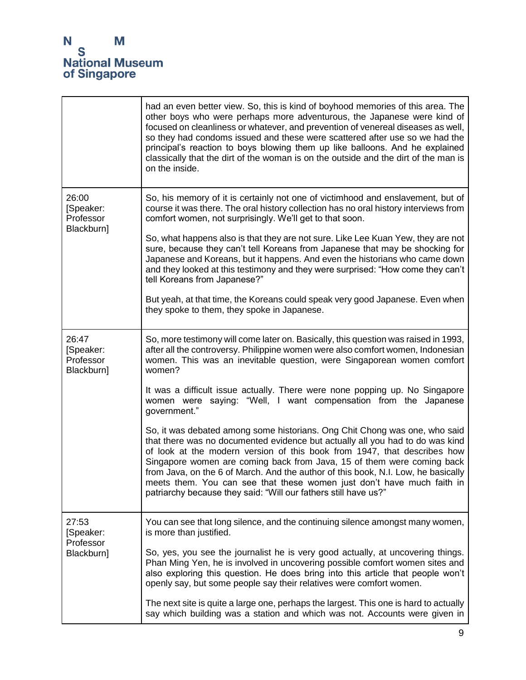

|                                               | had an even better view. So, this is kind of boyhood memories of this area. The<br>other boys who were perhaps more adventurous, the Japanese were kind of<br>focused on cleanliness or whatever, and prevention of venereal diseases as well,<br>so they had condoms issued and these were scattered after use so we had the<br>principal's reaction to boys blowing them up like balloons. And he explained<br>classically that the dirt of the woman is on the outside and the dirt of the man is<br>on the inside.                              |
|-----------------------------------------------|-----------------------------------------------------------------------------------------------------------------------------------------------------------------------------------------------------------------------------------------------------------------------------------------------------------------------------------------------------------------------------------------------------------------------------------------------------------------------------------------------------------------------------------------------------|
| 26:00<br>[Speaker:<br>Professor<br>Blackburn] | So, his memory of it is certainly not one of victimhood and enslavement, but of<br>course it was there. The oral history collection has no oral history interviews from<br>comfort women, not surprisingly. We'll get to that soon.                                                                                                                                                                                                                                                                                                                 |
|                                               | So, what happens also is that they are not sure. Like Lee Kuan Yew, they are not<br>sure, because they can't tell Koreans from Japanese that may be shocking for<br>Japanese and Koreans, but it happens. And even the historians who came down<br>and they looked at this testimony and they were surprised: "How come they can't<br>tell Koreans from Japanese?"                                                                                                                                                                                  |
|                                               | But yeah, at that time, the Koreans could speak very good Japanese. Even when<br>they spoke to them, they spoke in Japanese.                                                                                                                                                                                                                                                                                                                                                                                                                        |
| 26:47<br>[Speaker:<br>Professor<br>Blackburn] | So, more testimony will come later on. Basically, this question was raised in 1993,<br>after all the controversy. Philippine women were also comfort women, Indonesian<br>women. This was an inevitable question, were Singaporean women comfort<br>women?                                                                                                                                                                                                                                                                                          |
|                                               | It was a difficult issue actually. There were none popping up. No Singapore<br>women were saying: "Well, I want compensation from the Japanese<br>government."                                                                                                                                                                                                                                                                                                                                                                                      |
|                                               | So, it was debated among some historians. Ong Chit Chong was one, who said<br>that there was no documented evidence but actually all you had to do was kind<br>of look at the modern version of this book from 1947, that describes how<br>Singapore women are coming back from Java, 15 of them were coming back<br>from Java, on the 6 of March. And the author of this book, N.I. Low, he basically<br>meets them. You can see that these women just don't have much faith in<br>patriarchy because they said: "Will our fathers still have us?" |
| 27:53<br>[Speaker:<br>Professor<br>Blackburn] | You can see that long silence, and the continuing silence amongst many women,<br>is more than justified.                                                                                                                                                                                                                                                                                                                                                                                                                                            |
|                                               | So, yes, you see the journalist he is very good actually, at uncovering things.<br>Phan Ming Yen, he is involved in uncovering possible comfort women sites and<br>also exploring this question. He does bring into this article that people won't<br>openly say, but some people say their relatives were comfort women.                                                                                                                                                                                                                           |
|                                               | The next site is quite a large one, perhaps the largest. This one is hard to actually<br>say which building was a station and which was not. Accounts were given in                                                                                                                                                                                                                                                                                                                                                                                 |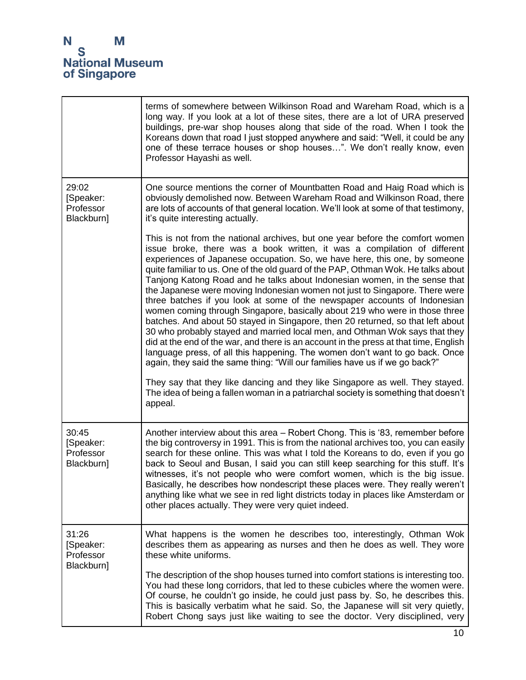|                                               | terms of somewhere between Wilkinson Road and Wareham Road, which is a<br>long way. If you look at a lot of these sites, there are a lot of URA preserved<br>buildings, pre-war shop houses along that side of the road. When I took the<br>Koreans down that road I just stopped anywhere and said: "Well, it could be any<br>one of these terrace houses or shop houses". We don't really know, even<br>Professor Hayashi as well.                                                                                                                                                                                                                                                                                                                                                                                                                                                                                                                                                                                                                                                                                                                                                                                                                               |
|-----------------------------------------------|--------------------------------------------------------------------------------------------------------------------------------------------------------------------------------------------------------------------------------------------------------------------------------------------------------------------------------------------------------------------------------------------------------------------------------------------------------------------------------------------------------------------------------------------------------------------------------------------------------------------------------------------------------------------------------------------------------------------------------------------------------------------------------------------------------------------------------------------------------------------------------------------------------------------------------------------------------------------------------------------------------------------------------------------------------------------------------------------------------------------------------------------------------------------------------------------------------------------------------------------------------------------|
| 29:02<br>[Speaker:<br>Professor<br>Blackburn] | One source mentions the corner of Mountbatten Road and Haig Road which is<br>obviously demolished now. Between Wareham Road and Wilkinson Road, there<br>are lots of accounts of that general location. We'll look at some of that testimony,<br>it's quite interesting actually.                                                                                                                                                                                                                                                                                                                                                                                                                                                                                                                                                                                                                                                                                                                                                                                                                                                                                                                                                                                  |
|                                               | This is not from the national archives, but one year before the comfort women<br>issue broke, there was a book written, it was a compilation of different<br>experiences of Japanese occupation. So, we have here, this one, by someone<br>quite familiar to us. One of the old guard of the PAP, Othman Wok. He talks about<br>Tanjong Katong Road and he talks about Indonesian women, in the sense that<br>the Japanese were moving Indonesian women not just to Singapore. There were<br>three batches if you look at some of the newspaper accounts of Indonesian<br>women coming through Singapore, basically about 219 who were in those three<br>batches. And about 50 stayed in Singapore, then 20 returned, so that left about<br>30 who probably stayed and married local men, and Othman Wok says that they<br>did at the end of the war, and there is an account in the press at that time, English<br>language press, of all this happening. The women don't want to go back. Once<br>again, they said the same thing: "Will our families have us if we go back?"<br>They say that they like dancing and they like Singapore as well. They stayed.<br>The idea of being a fallen woman in a patriarchal society is something that doesn't<br>appeal. |
| 30:45<br>[Speaker:<br>Professor<br>Blackburn] | Another interview about this area - Robert Chong. This is '83, remember before<br>the big controversy in 1991. This is from the national archives too, you can easily<br>search for these online. This was what I told the Koreans to do, even if you go<br>back to Seoul and Busan, I said you can still keep searching for this stuff. It's<br>witnesses, it's not people who were comfort women, which is the big issue.<br>Basically, he describes how nondescript these places were. They really weren't<br>anything like what we see in red light districts today in places like Amsterdam or<br>other places actually. They were very quiet indeed.                                                                                                                                                                                                                                                                                                                                                                                                                                                                                                                                                                                                         |
| 31:26<br>[Speaker:<br>Professor               | What happens is the women he describes too, interestingly, Othman Wok<br>describes them as appearing as nurses and then he does as well. They wore<br>these white uniforms.                                                                                                                                                                                                                                                                                                                                                                                                                                                                                                                                                                                                                                                                                                                                                                                                                                                                                                                                                                                                                                                                                        |
| Blackburn]                                    | The description of the shop houses turned into comfort stations is interesting too.<br>You had these long corridors, that led to these cubicles where the women were.<br>Of course, he couldn't go inside, he could just pass by. So, he describes this.<br>This is basically verbatim what he said. So, the Japanese will sit very quietly,<br>Robert Chong says just like waiting to see the doctor. Very disciplined, very                                                                                                                                                                                                                                                                                                                                                                                                                                                                                                                                                                                                                                                                                                                                                                                                                                      |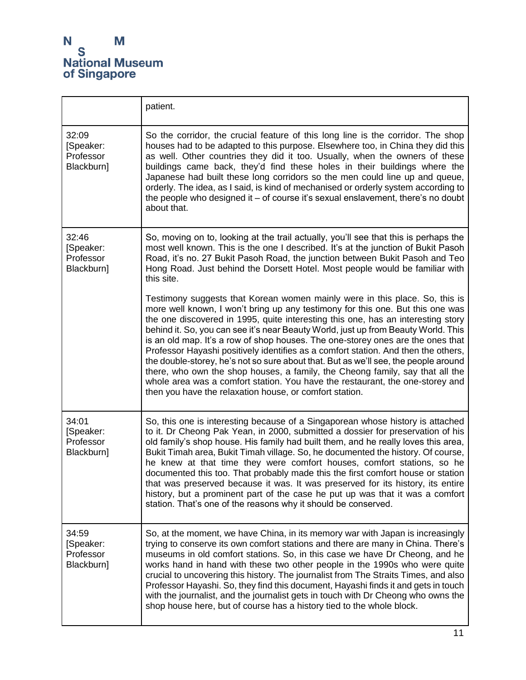|                                               | patient.                                                                                                                                                                                                                                                                                                                                                                                                                                                                                                                                                                                                                                                                                                                                                                                                                             |
|-----------------------------------------------|--------------------------------------------------------------------------------------------------------------------------------------------------------------------------------------------------------------------------------------------------------------------------------------------------------------------------------------------------------------------------------------------------------------------------------------------------------------------------------------------------------------------------------------------------------------------------------------------------------------------------------------------------------------------------------------------------------------------------------------------------------------------------------------------------------------------------------------|
| 32:09<br>[Speaker:<br>Professor<br>Blackburn] | So the corridor, the crucial feature of this long line is the corridor. The shop<br>houses had to be adapted to this purpose. Elsewhere too, in China they did this<br>as well. Other countries they did it too. Usually, when the owners of these<br>buildings came back, they'd find these holes in their buildings where the<br>Japanese had built these long corridors so the men could line up and queue,<br>orderly. The idea, as I said, is kind of mechanised or orderly system according to<br>the people who designed it - of course it's sexual enslavement, there's no doubt<br>about that.                                                                                                                                                                                                                              |
| 32:46<br>[Speaker:<br>Professor<br>Blackburn] | So, moving on to, looking at the trail actually, you'll see that this is perhaps the<br>most well known. This is the one I described. It's at the junction of Bukit Pasoh<br>Road, it's no. 27 Bukit Pasoh Road, the junction between Bukit Pasoh and Teo<br>Hong Road. Just behind the Dorsett Hotel. Most people would be familiar with<br>this site.                                                                                                                                                                                                                                                                                                                                                                                                                                                                              |
|                                               | Testimony suggests that Korean women mainly were in this place. So, this is<br>more well known, I won't bring up any testimony for this one. But this one was<br>the one discovered in 1995, quite interesting this one, has an interesting story<br>behind it. So, you can see it's near Beauty World, just up from Beauty World. This<br>is an old map. It's a row of shop houses. The one-storey ones are the ones that<br>Professor Hayashi positively identifies as a comfort station. And then the others,<br>the double-storey, he's not so sure about that. But as we'll see, the people around<br>there, who own the shop houses, a family, the Cheong family, say that all the<br>whole area was a comfort station. You have the restaurant, the one-storey and<br>then you have the relaxation house, or comfort station. |
| 34:01<br>[Speaker:<br>Professor<br>Blackburn] | So, this one is interesting because of a Singaporean whose history is attached<br>to it. Dr Cheong Pak Yean, in 2000, submitted a dossier for preservation of his<br>old family's shop house. His family had built them, and he really loves this area,<br>Bukit Timah area, Bukit Timah village. So, he documented the history. Of course,<br>he knew at that time they were comfort houses, comfort stations, so he<br>documented this too. That probably made this the first comfort house or station<br>that was preserved because it was. It was preserved for its history, its entire<br>history, but a prominent part of the case he put up was that it was a comfort<br>station. That's one of the reasons why it should be conserved.                                                                                       |
| 34:59<br>[Speaker:<br>Professor<br>Blackburn] | So, at the moment, we have China, in its memory war with Japan is increasingly<br>trying to conserve its own comfort stations and there are many in China. There's<br>museums in old comfort stations. So, in this case we have Dr Cheong, and he<br>works hand in hand with these two other people in the 1990s who were quite<br>crucial to uncovering this history. The journalist from The Straits Times, and also<br>Professor Hayashi. So, they find this document, Hayashi finds it and gets in touch<br>with the journalist, and the journalist gets in touch with Dr Cheong who owns the<br>shop house here, but of course has a history tied to the whole block.                                                                                                                                                           |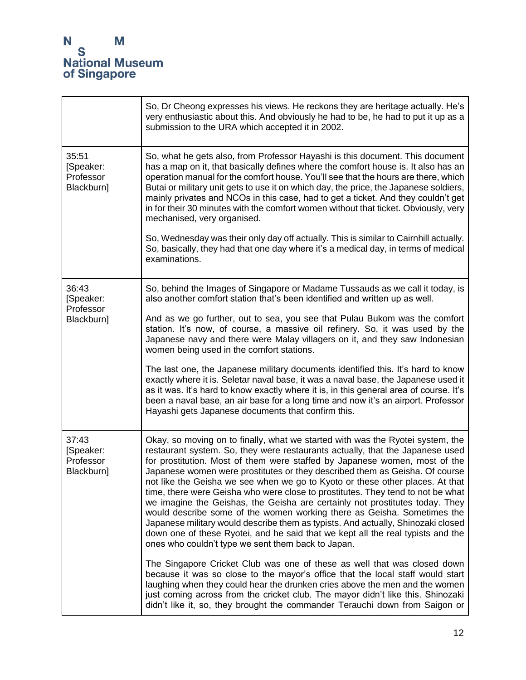|                                               | So, Dr Cheong expresses his views. He reckons they are heritage actually. He's<br>very enthusiastic about this. And obviously he had to be, he had to put it up as a<br>submission to the URA which accepted it in 2002.                                                                                                                                                                                                                                                                                                                                                                                                                                                                                                                                                                                                                                                                 |
|-----------------------------------------------|------------------------------------------------------------------------------------------------------------------------------------------------------------------------------------------------------------------------------------------------------------------------------------------------------------------------------------------------------------------------------------------------------------------------------------------------------------------------------------------------------------------------------------------------------------------------------------------------------------------------------------------------------------------------------------------------------------------------------------------------------------------------------------------------------------------------------------------------------------------------------------------|
| 35:51<br>[Speaker:<br>Professor<br>Blackburn] | So, what he gets also, from Professor Hayashi is this document. This document<br>has a map on it, that basically defines where the comfort house is. It also has an<br>operation manual for the comfort house. You'll see that the hours are there, which<br>Butai or military unit gets to use it on which day, the price, the Japanese soldiers,<br>mainly privates and NCOs in this case, had to get a ticket. And they couldn't get<br>in for their 30 minutes with the comfort women without that ticket. Obviously, very<br>mechanised, very organised.<br>So, Wednesday was their only day off actually. This is similar to Cairnhill actually.<br>So, basically, they had that one day where it's a medical day, in terms of medical                                                                                                                                             |
|                                               | examinations.                                                                                                                                                                                                                                                                                                                                                                                                                                                                                                                                                                                                                                                                                                                                                                                                                                                                            |
| 36:43<br>[Speaker:<br>Professor               | So, behind the Images of Singapore or Madame Tussauds as we call it today, is<br>also another comfort station that's been identified and written up as well.                                                                                                                                                                                                                                                                                                                                                                                                                                                                                                                                                                                                                                                                                                                             |
| Blackburn]                                    | And as we go further, out to sea, you see that Pulau Bukom was the comfort<br>station. It's now, of course, a massive oil refinery. So, it was used by the<br>Japanese navy and there were Malay villagers on it, and they saw Indonesian<br>women being used in the comfort stations.                                                                                                                                                                                                                                                                                                                                                                                                                                                                                                                                                                                                   |
|                                               | The last one, the Japanese military documents identified this. It's hard to know<br>exactly where it is. Seletar naval base, it was a naval base, the Japanese used it<br>as it was. It's hard to know exactly where it is, in this general area of course. It's<br>been a naval base, an air base for a long time and now it's an airport. Professor<br>Hayashi gets Japanese documents that confirm this.                                                                                                                                                                                                                                                                                                                                                                                                                                                                              |
| 37:43<br>[Speaker:<br>Professor<br>Blackburn] | Okay, so moving on to finally, what we started with was the Ryotei system, the<br>restaurant system. So, they were restaurants actually, that the Japanese used<br>for prostitution. Most of them were staffed by Japanese women, most of the<br>Japanese women were prostitutes or they described them as Geisha. Of course<br>not like the Geisha we see when we go to Kyoto or these other places. At that<br>time, there were Geisha who were close to prostitutes. They tend to not be what<br>we imagine the Geishas, the Geisha are certainly not prostitutes today. They<br>would describe some of the women working there as Geisha. Sometimes the<br>Japanese military would describe them as typists. And actually, Shinozaki closed<br>down one of these Ryotei, and he said that we kept all the real typists and the<br>ones who couldn't type we sent them back to Japan. |
|                                               | The Singapore Cricket Club was one of these as well that was closed down<br>because it was so close to the mayor's office that the local staff would start<br>laughing when they could hear the drunken cries above the men and the women<br>just coming across from the cricket club. The mayor didn't like this. Shinozaki<br>didn't like it, so, they brought the commander Terauchi down from Saigon or                                                                                                                                                                                                                                                                                                                                                                                                                                                                              |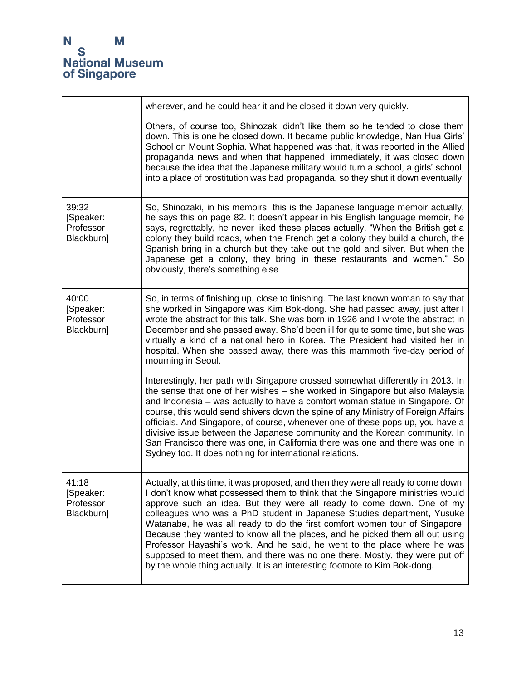|                                               | wherever, and he could hear it and he closed it down very quickly.                                                                                                                                                                                                                                                                                                                                                                                                                                                                                                                                                                                                                                                                 |
|-----------------------------------------------|------------------------------------------------------------------------------------------------------------------------------------------------------------------------------------------------------------------------------------------------------------------------------------------------------------------------------------------------------------------------------------------------------------------------------------------------------------------------------------------------------------------------------------------------------------------------------------------------------------------------------------------------------------------------------------------------------------------------------------|
|                                               | Others, of course too, Shinozaki didn't like them so he tended to close them<br>down. This is one he closed down. It became public knowledge, Nan Hua Girls'<br>School on Mount Sophia. What happened was that, it was reported in the Allied<br>propaganda news and when that happened, immediately, it was closed down<br>because the idea that the Japanese military would turn a school, a girls' school,<br>into a place of prostitution was bad propaganda, so they shut it down eventually.                                                                                                                                                                                                                                 |
| 39:32<br>[Speaker:<br>Professor<br>Blackburn] | So, Shinozaki, in his memoirs, this is the Japanese language memoir actually,<br>he says this on page 82. It doesn't appear in his English language memoir, he<br>says, regrettably, he never liked these places actually. "When the British get a<br>colony they build roads, when the French get a colony they build a church, the<br>Spanish bring in a church but they take out the gold and silver. But when the<br>Japanese get a colony, they bring in these restaurants and women." So<br>obviously, there's something else.                                                                                                                                                                                               |
| 40:00<br>[Speaker:<br>Professor<br>Blackburn] | So, in terms of finishing up, close to finishing. The last known woman to say that<br>she worked in Singapore was Kim Bok-dong. She had passed away, just after I<br>wrote the abstract for this talk. She was born in 1926 and I wrote the abstract in<br>December and she passed away. She'd been ill for quite some time, but she was<br>virtually a kind of a national hero in Korea. The President had visited her in<br>hospital. When she passed away, there was this mammoth five-day period of<br>mourning in Seoul.                                                                                                                                                                                                      |
|                                               | Interestingly, her path with Singapore crossed somewhat differently in 2013. In<br>the sense that one of her wishes - she worked in Singapore but also Malaysia<br>and Indonesia - was actually to have a comfort woman statue in Singapore. Of<br>course, this would send shivers down the spine of any Ministry of Foreign Affairs<br>officials. And Singapore, of course, whenever one of these pops up, you have a<br>divisive issue between the Japanese community and the Korean community. In<br>San Francisco there was one, in California there was one and there was one in<br>Sydney too. It does nothing for international relations.                                                                                  |
| 41:18<br>[Speaker:<br>Professor<br>Blackburn] | Actually, at this time, it was proposed, and then they were all ready to come down.<br>I don't know what possessed them to think that the Singapore ministries would<br>approve such an idea. But they were all ready to come down. One of my<br>colleagues who was a PhD student in Japanese Studies department, Yusuke<br>Watanabe, he was all ready to do the first comfort women tour of Singapore.<br>Because they wanted to know all the places, and he picked them all out using<br>Professor Hayashi's work. And he said, he went to the place where he was<br>supposed to meet them, and there was no one there. Mostly, they were put off<br>by the whole thing actually. It is an interesting footnote to Kim Bok-dong. |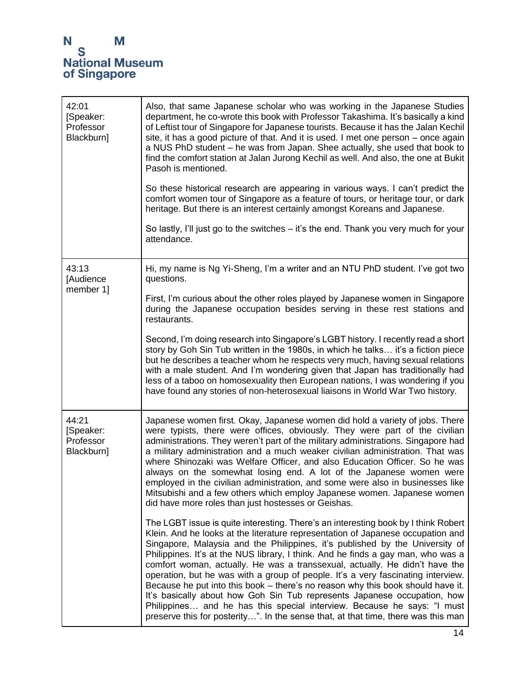## N<br>S<br>National Museum<br>of Singapore

| 42:01<br>[Speaker:<br>Professor<br>Blackburn] | Also, that same Japanese scholar who was working in the Japanese Studies<br>department, he co-wrote this book with Professor Takashima. It's basically a kind<br>of Leftist tour of Singapore for Japanese tourists. Because it has the Jalan Kechil<br>site, it has a good picture of that. And it is used. I met one person – once again<br>a NUS PhD student - he was from Japan. Shee actually, she used that book to<br>find the comfort station at Jalan Jurong Kechil as well. And also, the one at Bukit<br>Pasoh is mentioned.<br>So these historical research are appearing in various ways. I can't predict the<br>comfort women tour of Singapore as a feature of tours, or heritage tour, or dark<br>heritage. But there is an interest certainly amongst Koreans and Japanese.<br>So lastly, I'll just go to the switches – it's the end. Thank you very much for your<br>attendance. |
|-----------------------------------------------|-----------------------------------------------------------------------------------------------------------------------------------------------------------------------------------------------------------------------------------------------------------------------------------------------------------------------------------------------------------------------------------------------------------------------------------------------------------------------------------------------------------------------------------------------------------------------------------------------------------------------------------------------------------------------------------------------------------------------------------------------------------------------------------------------------------------------------------------------------------------------------------------------------|
| 43:13<br>[Audience<br>member 1]               | Hi, my name is Ng Yi-Sheng, I'm a writer and an NTU PhD student. I've got two<br>questions.                                                                                                                                                                                                                                                                                                                                                                                                                                                                                                                                                                                                                                                                                                                                                                                                         |
|                                               | First, I'm curious about the other roles played by Japanese women in Singapore<br>during the Japanese occupation besides serving in these rest stations and<br>restaurants.                                                                                                                                                                                                                                                                                                                                                                                                                                                                                                                                                                                                                                                                                                                         |
|                                               | Second, I'm doing research into Singapore's LGBT history. I recently read a short<br>story by Goh Sin Tub written in the 1980s, in which he talks it's a fiction piece<br>but he describes a teacher whom he respects very much, having sexual relations<br>with a male student. And I'm wondering given that Japan has traditionally had<br>less of a taboo on homosexuality then European nations, I was wondering if you<br>have found any stories of non-heterosexual liaisons in World War Two history.                                                                                                                                                                                                                                                                                                                                                                                        |
| 44:21<br>[Speaker:<br>Professor<br>Blackburn] | Japanese women first. Okay, Japanese women did hold a variety of jobs. There<br>were typists, there were offices, obviously. They were part of the civilian<br>administrations. They weren't part of the military administrations. Singapore had<br>a military administration and a much weaker civilian administration. That was<br>where Shinozaki was Welfare Officer, and also Education Officer. So he was<br>always on the somewhat losing end. A lot of the Japanese women were<br>employed in the civilian administration, and some were also in businesses like<br>Mitsubishi and a few others which employ Japanese women. Japanese women<br>did have more roles than just hostesses or Geishas.                                                                                                                                                                                          |
|                                               | The LGBT issue is quite interesting. There's an interesting book by I think Robert<br>Klein. And he looks at the literature representation of Japanese occupation and<br>Singapore, Malaysia and the Philippines, it's published by the University of<br>Philippines. It's at the NUS library, I think. And he finds a gay man, who was a<br>comfort woman, actually. He was a transsexual, actually. He didn't have the<br>operation, but he was with a group of people. It's a very fascinating interview.<br>Because he put into this book – there's no reason why this book should have it.<br>It's basically about how Goh Sin Tub represents Japanese occupation, how<br>Philippines and he has this special interview. Because he says: "I must<br>preserve this for posterity". In the sense that, at that time, there was this man                                                         |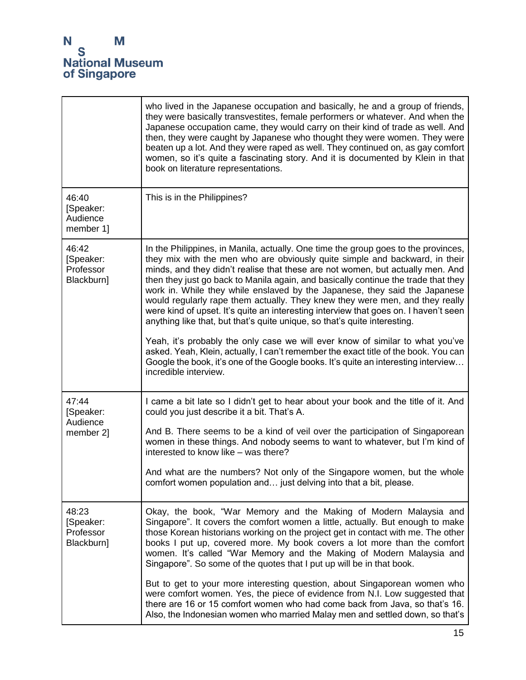|                                               | who lived in the Japanese occupation and basically, he and a group of friends,<br>they were basically transvestites, female performers or whatever. And when the<br>Japanese occupation came, they would carry on their kind of trade as well. And<br>then, they were caught by Japanese who thought they were women. They were<br>beaten up a lot. And they were raped as well. They continued on, as gay comfort<br>women, so it's quite a fascinating story. And it is documented by Klein in that<br>book on literature representations.                                                                                                                                 |
|-----------------------------------------------|------------------------------------------------------------------------------------------------------------------------------------------------------------------------------------------------------------------------------------------------------------------------------------------------------------------------------------------------------------------------------------------------------------------------------------------------------------------------------------------------------------------------------------------------------------------------------------------------------------------------------------------------------------------------------|
| 46:40<br>[Speaker:<br>Audience<br>member 1]   | This is in the Philippines?                                                                                                                                                                                                                                                                                                                                                                                                                                                                                                                                                                                                                                                  |
| 46:42<br>[Speaker:<br>Professor<br>Blackburn] | In the Philippines, in Manila, actually. One time the group goes to the provinces,<br>they mix with the men who are obviously quite simple and backward, in their<br>minds, and they didn't realise that these are not women, but actually men. And<br>then they just go back to Manila again, and basically continue the trade that they<br>work in. While they while enslaved by the Japanese, they said the Japanese<br>would regularly rape them actually. They knew they were men, and they really<br>were kind of upset. It's quite an interesting interview that goes on. I haven't seen<br>anything like that, but that's quite unique, so that's quite interesting. |
|                                               | Yeah, it's probably the only case we will ever know of similar to what you've<br>asked. Yeah, Klein, actually, I can't remember the exact title of the book. You can<br>Google the book, it's one of the Google books. It's quite an interesting interview<br>incredible interview.                                                                                                                                                                                                                                                                                                                                                                                          |
| 47:44<br>[Speaker:<br>Audience                | I came a bit late so I didn't get to hear about your book and the title of it. And<br>could you just describe it a bit. That's A.                                                                                                                                                                                                                                                                                                                                                                                                                                                                                                                                            |
| member 2]                                     | And B. There seems to be a kind of veil over the participation of Singaporean<br>women in these things. And nobody seems to want to whatever, but I'm kind of<br>interested to know like - was there?                                                                                                                                                                                                                                                                                                                                                                                                                                                                        |
|                                               | And what are the numbers? Not only of the Singapore women, but the whole<br>comfort women population and just delving into that a bit, please.                                                                                                                                                                                                                                                                                                                                                                                                                                                                                                                               |
| 48:23<br>[Speaker:<br>Professor<br>Blackburn] | Okay, the book, "War Memory and the Making of Modern Malaysia and<br>Singapore". It covers the comfort women a little, actually. But enough to make<br>those Korean historians working on the project get in contact with me. The other<br>books I put up, covered more. My book covers a lot more than the comfort<br>women. It's called "War Memory and the Making of Modern Malaysia and<br>Singapore". So some of the quotes that I put up will be in that book.                                                                                                                                                                                                         |
|                                               | But to get to your more interesting question, about Singaporean women who<br>were comfort women. Yes, the piece of evidence from N.I. Low suggested that<br>there are 16 or 15 comfort women who had come back from Java, so that's 16.<br>Also, the Indonesian women who married Malay men and settled down, so that's                                                                                                                                                                                                                                                                                                                                                      |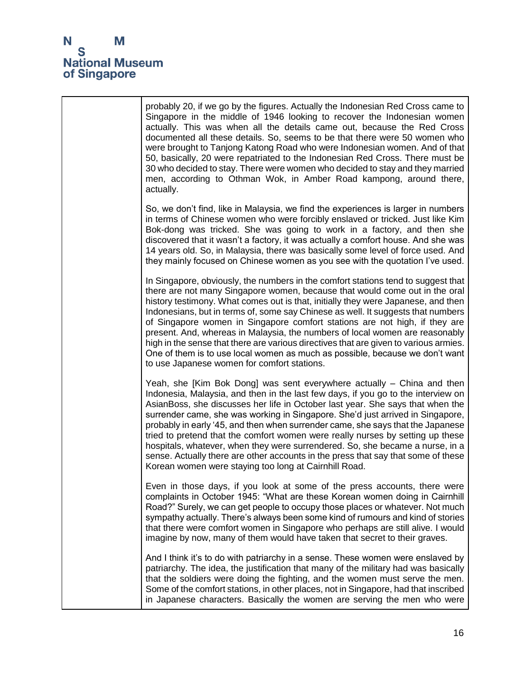

|  | probably 20, if we go by the figures. Actually the Indonesian Red Cross came to<br>Singapore in the middle of 1946 looking to recover the Indonesian women<br>actually. This was when all the details came out, because the Red Cross<br>documented all these details. So, seems to be that there were 50 women who<br>were brought to Tanjong Katong Road who were Indonesian women. And of that<br>50, basically, 20 were repatriated to the Indonesian Red Cross. There must be<br>30 who decided to stay. There were women who decided to stay and they married<br>men, according to Othman Wok, in Amber Road kampong, around there,<br>actually.                                                                              |
|--|-------------------------------------------------------------------------------------------------------------------------------------------------------------------------------------------------------------------------------------------------------------------------------------------------------------------------------------------------------------------------------------------------------------------------------------------------------------------------------------------------------------------------------------------------------------------------------------------------------------------------------------------------------------------------------------------------------------------------------------|
|  | So, we don't find, like in Malaysia, we find the experiences is larger in numbers<br>in terms of Chinese women who were forcibly enslaved or tricked. Just like Kim<br>Bok-dong was tricked. She was going to work in a factory, and then she<br>discovered that it wasn't a factory, it was actually a comfort house. And she was<br>14 years old. So, in Malaysia, there was basically some level of force used. And<br>they mainly focused on Chinese women as you see with the quotation I've used.                                                                                                                                                                                                                             |
|  | In Singapore, obviously, the numbers in the comfort stations tend to suggest that<br>there are not many Singapore women, because that would come out in the oral<br>history testimony. What comes out is that, initially they were Japanese, and then<br>Indonesians, but in terms of, some say Chinese as well. It suggests that numbers<br>of Singapore women in Singapore comfort stations are not high, if they are<br>present. And, whereas in Malaysia, the numbers of local women are reasonably<br>high in the sense that there are various directives that are given to various armies.<br>One of them is to use local women as much as possible, because we don't want<br>to use Japanese women for comfort stations.     |
|  | Yeah, she [Kim Bok Dong] was sent everywhere actually – China and then<br>Indonesia, Malaysia, and then in the last few days, if you go to the interview on<br>AsianBoss, she discusses her life in October last year. She says that when the<br>surrender came, she was working in Singapore. She'd just arrived in Singapore,<br>probably in early '45, and then when surrender came, she says that the Japanese<br>tried to pretend that the comfort women were really nurses by setting up these<br>hospitals, whatever, when they were surrendered. So, she became a nurse, in a<br>sense. Actually there are other accounts in the press that say that some of these<br>Korean women were staying too long at Cairnhill Road. |
|  | Even in those days, if you look at some of the press accounts, there were<br>complaints in October 1945: "What are these Korean women doing in Cairnhill<br>Road?" Surely, we can get people to occupy those places or whatever. Not much<br>sympathy actually. There's always been some kind of rumours and kind of stories<br>that there were comfort women in Singapore who perhaps are still alive. I would<br>imagine by now, many of them would have taken that secret to their graves.                                                                                                                                                                                                                                       |
|  | And I think it's to do with patriarchy in a sense. These women were enslaved by<br>patriarchy. The idea, the justification that many of the military had was basically<br>that the soldiers were doing the fighting, and the women must serve the men.<br>Some of the comfort stations, in other places, not in Singapore, had that inscribed<br>in Japanese characters. Basically the women are serving the men who were                                                                                                                                                                                                                                                                                                           |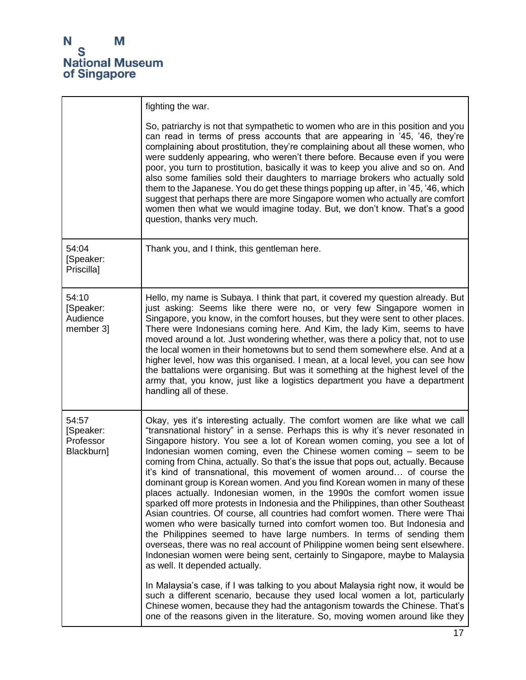|                                               | fighting the war.                                                                                                                                                                                                                                                                                                                                                                                                                                                                                                                                                                                                                                                                                                                                                                                                                                                                                                                                                                                                                                                                                                                                                                                                                                                                                                                                                                                                                                                                                             |
|-----------------------------------------------|---------------------------------------------------------------------------------------------------------------------------------------------------------------------------------------------------------------------------------------------------------------------------------------------------------------------------------------------------------------------------------------------------------------------------------------------------------------------------------------------------------------------------------------------------------------------------------------------------------------------------------------------------------------------------------------------------------------------------------------------------------------------------------------------------------------------------------------------------------------------------------------------------------------------------------------------------------------------------------------------------------------------------------------------------------------------------------------------------------------------------------------------------------------------------------------------------------------------------------------------------------------------------------------------------------------------------------------------------------------------------------------------------------------------------------------------------------------------------------------------------------------|
|                                               | So, patriarchy is not that sympathetic to women who are in this position and you<br>can read in terms of press accounts that are appearing in '45, '46, they're<br>complaining about prostitution, they're complaining about all these women, who<br>were suddenly appearing, who weren't there before. Because even if you were<br>poor, you turn to prostitution, basically it was to keep you alive and so on. And<br>also some families sold their daughters to marriage brokers who actually sold<br>them to the Japanese. You do get these things popping up after, in '45, '46, which<br>suggest that perhaps there are more Singapore women who actually are comfort<br>women then what we would imagine today. But, we don't know. That's a good<br>question, thanks very much.                                                                                                                                                                                                                                                                                                                                                                                                                                                                                                                                                                                                                                                                                                                      |
| 54:04<br>[Speaker:<br>Priscilla]              | Thank you, and I think, this gentleman here.                                                                                                                                                                                                                                                                                                                                                                                                                                                                                                                                                                                                                                                                                                                                                                                                                                                                                                                                                                                                                                                                                                                                                                                                                                                                                                                                                                                                                                                                  |
| 54:10<br>[Speaker:<br>Audience<br>member 3]   | Hello, my name is Subaya. I think that part, it covered my question already. But<br>just asking: Seems like there were no, or very few Singapore women in<br>Singapore, you know, in the comfort houses, but they were sent to other places.<br>There were Indonesians coming here. And Kim, the lady Kim, seems to have<br>moved around a lot. Just wondering whether, was there a policy that, not to use<br>the local women in their hometowns but to send them somewhere else. And at a<br>higher level, how was this organised. I mean, at a local level, you can see how<br>the battalions were organising. But was it something at the highest level of the<br>army that, you know, just like a logistics department you have a department<br>handling all of these.                                                                                                                                                                                                                                                                                                                                                                                                                                                                                                                                                                                                                                                                                                                                   |
| 54:57<br>[Speaker:<br>Professor<br>Blackburn] | Okay, yes it's interesting actually. The comfort women are like what we call<br>"transnational history" in a sense. Perhaps this is why it's never resonated in<br>Singapore history. You see a lot of Korean women coming, you see a lot of<br>Indonesian women coming, even the Chinese women coming - seem to be<br>coming from China, actually. So that's the issue that pops out, actually. Because<br>it's kind of transnational, this movement of women around of course the<br>dominant group is Korean women. And you find Korean women in many of these<br>places actually. Indonesian women, in the 1990s the comfort women issue<br>sparked off more protests in Indonesia and the Philippines, than other Southeast<br>Asian countries. Of course, all countries had comfort women. There were Thai<br>women who were basically turned into comfort women too. But Indonesia and<br>the Philippines seemed to have large numbers. In terms of sending them<br>overseas, there was no real account of Philippine women being sent elsewhere.<br>Indonesian women were being sent, certainly to Singapore, maybe to Malaysia<br>as well. It depended actually.<br>In Malaysia's case, if I was talking to you about Malaysia right now, it would be<br>such a different scenario, because they used local women a lot, particularly<br>Chinese women, because they had the antagonism towards the Chinese. That's<br>one of the reasons given in the literature. So, moving women around like they |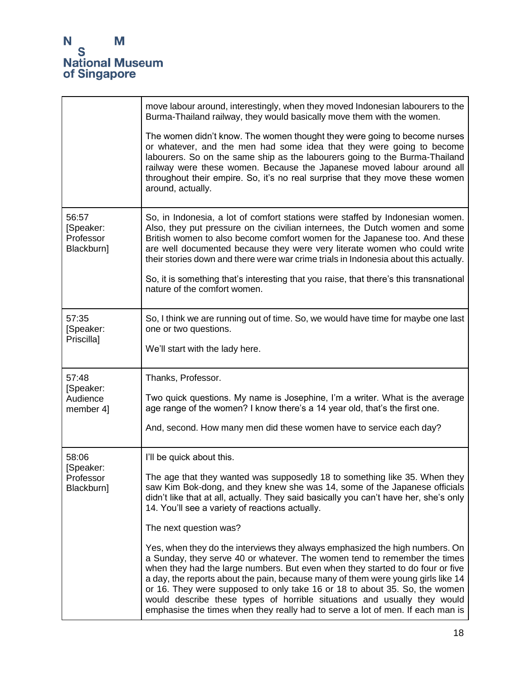|                                               | move labour around, interestingly, when they moved Indonesian labourers to the<br>Burma-Thailand railway, they would basically move them with the women.                                                                                                                                                                                                                                                                                                                                                                                                                    |
|-----------------------------------------------|-----------------------------------------------------------------------------------------------------------------------------------------------------------------------------------------------------------------------------------------------------------------------------------------------------------------------------------------------------------------------------------------------------------------------------------------------------------------------------------------------------------------------------------------------------------------------------|
|                                               | The women didn't know. The women thought they were going to become nurses<br>or whatever, and the men had some idea that they were going to become<br>labourers. So on the same ship as the labourers going to the Burma-Thailand<br>railway were these women. Because the Japanese moved labour around all<br>throughout their empire. So, it's no real surprise that they move these women<br>around, actually.                                                                                                                                                           |
| 56:57<br>[Speaker:<br>Professor<br>Blackburn] | So, in Indonesia, a lot of comfort stations were staffed by Indonesian women.<br>Also, they put pressure on the civilian internees, the Dutch women and some<br>British women to also become comfort women for the Japanese too. And these<br>are well documented because they were very literate women who could write<br>their stories down and there were war crime trials in Indonesia about this actually.                                                                                                                                                             |
|                                               | So, it is something that's interesting that you raise, that there's this transnational<br>nature of the comfort women.                                                                                                                                                                                                                                                                                                                                                                                                                                                      |
| 57:35<br>[Speaker:<br>Priscilla]              | So, I think we are running out of time. So, we would have time for maybe one last<br>one or two questions.                                                                                                                                                                                                                                                                                                                                                                                                                                                                  |
|                                               | We'll start with the lady here.                                                                                                                                                                                                                                                                                                                                                                                                                                                                                                                                             |
| 57:48<br>[Speaker:                            | Thanks, Professor.                                                                                                                                                                                                                                                                                                                                                                                                                                                                                                                                                          |
| Audience<br>member 4]                         | Two quick questions. My name is Josephine, I'm a writer. What is the average<br>age range of the women? I know there's a 14 year old, that's the first one.                                                                                                                                                                                                                                                                                                                                                                                                                 |
|                                               | And, second. How many men did these women have to service each day?                                                                                                                                                                                                                                                                                                                                                                                                                                                                                                         |
| 58:06<br>[Speaker:                            | I'll be quick about this.                                                                                                                                                                                                                                                                                                                                                                                                                                                                                                                                                   |
| Professor<br>Blackburn]                       | The age that they wanted was supposedly 18 to something like 35. When they<br>saw Kim Bok-dong, and they knew she was 14, some of the Japanese officials<br>didn't like that at all, actually. They said basically you can't have her, she's only<br>14. You'll see a variety of reactions actually.                                                                                                                                                                                                                                                                        |
|                                               | The next question was?                                                                                                                                                                                                                                                                                                                                                                                                                                                                                                                                                      |
|                                               | Yes, when they do the interviews they always emphasized the high numbers. On<br>a Sunday, they serve 40 or whatever. The women tend to remember the times<br>when they had the large numbers. But even when they started to do four or five<br>a day, the reports about the pain, because many of them were young girls like 14<br>or 16. They were supposed to only take 16 or 18 to about 35. So, the women<br>would describe these types of horrible situations and usually they would<br>emphasise the times when they really had to serve a lot of men. If each man is |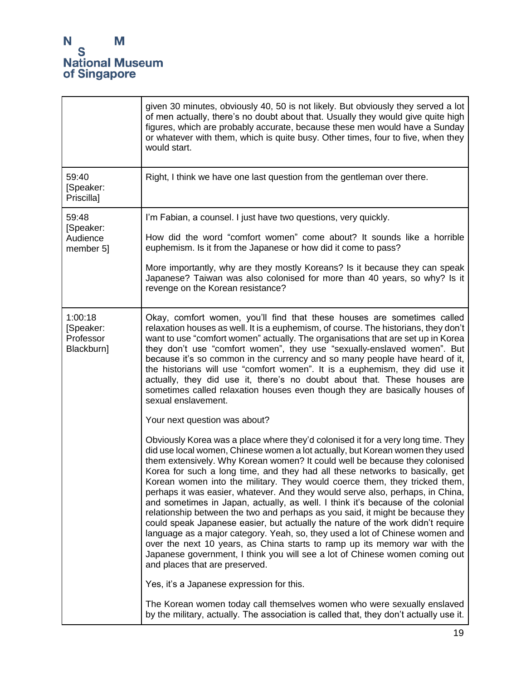|                                                 | given 30 minutes, obviously 40, 50 is not likely. But obviously they served a lot<br>of men actually, there's no doubt about that. Usually they would give quite high<br>figures, which are probably accurate, because these men would have a Sunday<br>or whatever with them, which is quite busy. Other times, four to five, when they<br>would start.                                                                                                                                                                                                                                                                                                                                                                                                                                                                                                                                                                                                                                                                                 |
|-------------------------------------------------|------------------------------------------------------------------------------------------------------------------------------------------------------------------------------------------------------------------------------------------------------------------------------------------------------------------------------------------------------------------------------------------------------------------------------------------------------------------------------------------------------------------------------------------------------------------------------------------------------------------------------------------------------------------------------------------------------------------------------------------------------------------------------------------------------------------------------------------------------------------------------------------------------------------------------------------------------------------------------------------------------------------------------------------|
| 59:40<br>[Speaker:<br>Priscilla]                | Right, I think we have one last question from the gentleman over there.                                                                                                                                                                                                                                                                                                                                                                                                                                                                                                                                                                                                                                                                                                                                                                                                                                                                                                                                                                  |
| 59:48<br>[Speaker:                              | I'm Fabian, a counsel. I just have two questions, very quickly.                                                                                                                                                                                                                                                                                                                                                                                                                                                                                                                                                                                                                                                                                                                                                                                                                                                                                                                                                                          |
| Audience<br>member 5]                           | How did the word "comfort women" come about? It sounds like a horrible<br>euphemism. Is it from the Japanese or how did it come to pass?                                                                                                                                                                                                                                                                                                                                                                                                                                                                                                                                                                                                                                                                                                                                                                                                                                                                                                 |
|                                                 | More importantly, why are they mostly Koreans? Is it because they can speak<br>Japanese? Taiwan was also colonised for more than 40 years, so why? Is it<br>revenge on the Korean resistance?                                                                                                                                                                                                                                                                                                                                                                                                                                                                                                                                                                                                                                                                                                                                                                                                                                            |
| 1:00:18<br>[Speaker:<br>Professor<br>Blackburn] | Okay, comfort women, you'll find that these houses are sometimes called<br>relaxation houses as well. It is a euphemism, of course. The historians, they don't<br>want to use "comfort women" actually. The organisations that are set up in Korea<br>they don't use "comfort women", they use "sexually-enslaved women". But<br>because it's so common in the currency and so many people have heard of it,<br>the historians will use "comfort women". It is a euphemism, they did use it<br>actually, they did use it, there's no doubt about that. These houses are<br>sometimes called relaxation houses even though they are basically houses of<br>sexual enslavement.                                                                                                                                                                                                                                                                                                                                                            |
|                                                 | Your next question was about?                                                                                                                                                                                                                                                                                                                                                                                                                                                                                                                                                                                                                                                                                                                                                                                                                                                                                                                                                                                                            |
|                                                 | Obviously Korea was a place where they'd colonised it for a very long time. They<br>did use local women, Chinese women a lot actually, but Korean women they used<br>them extensively. Why Korean women? It could well be because they colonised<br>Korea for such a long time, and they had all these networks to basically, get<br>Korean women into the military. They would coerce them, they tricked them,<br>perhaps it was easier, whatever. And they would serve also, perhaps, in China,<br>and sometimes in Japan, actually, as well. I think it's because of the colonial<br>relationship between the two and perhaps as you said, it might be because they<br>could speak Japanese easier, but actually the nature of the work didn't require<br>language as a major category. Yeah, so, they used a lot of Chinese women and<br>over the next 10 years, as China starts to ramp up its memory war with the<br>Japanese government, I think you will see a lot of Chinese women coming out<br>and places that are preserved. |
|                                                 | Yes, it's a Japanese expression for this.                                                                                                                                                                                                                                                                                                                                                                                                                                                                                                                                                                                                                                                                                                                                                                                                                                                                                                                                                                                                |
|                                                 | The Korean women today call themselves women who were sexually enslaved<br>by the military, actually. The association is called that, they don't actually use it.                                                                                                                                                                                                                                                                                                                                                                                                                                                                                                                                                                                                                                                                                                                                                                                                                                                                        |